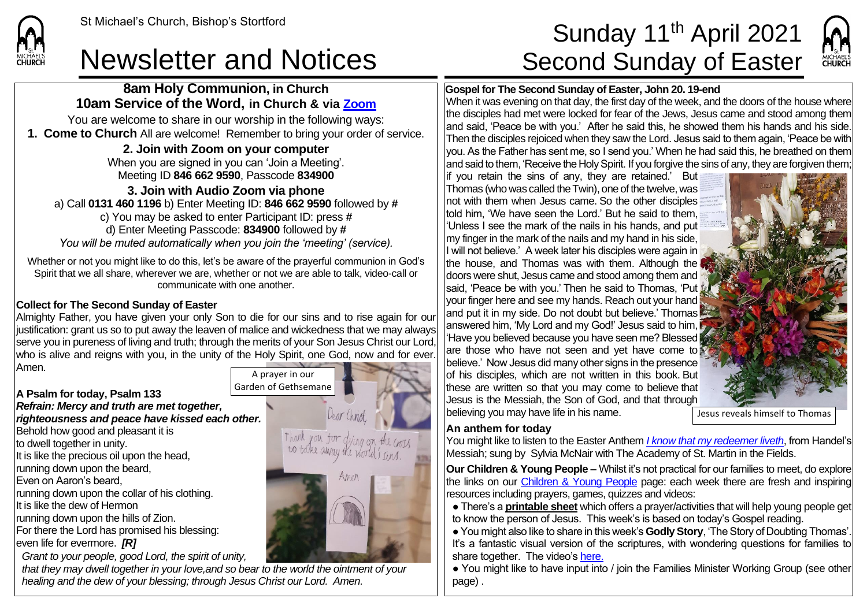**8am Holy Communion, in Church 10am Service of the Word, in Church & via [Zoom](https://zoom.us/)** You are welcome to share in our worship in the following ways: **1. Come to Church** All are welcome! Remember to bring your order of service.

#### **2. Join with Zoom on your computer**

When you are signed in you can 'Join a Meeting'. Meeting ID **846 662 9590**, Passcode **834900**

#### **3. Join with Audio Zoom via phone**

a) Call **0131 460 1196** b) Enter Meeting ID: **846 662 9590** followed by **#** c) You may be asked to enter Participant ID: press **#** d) Enter Meeting Passcode: **834900** followed by **#** *You will be muted automatically when you join the 'meeting' (service).*

Whether or not you might like to do this, let's be aware of the prayerful communion in God's Spirit that we all share, wherever we are, whether or not we are able to talk, video-call or communicate with one another.

#### **Collect for The Second Sunday of Easter**

Almighty Father, you have given your only Son to die for our sins and to rise again for our justification: grant us so to put away the leaven of malice and wickedness that we may always serve you in pureness of living and truth; through the merits of your Son Jesus Christ our Lord, who is alive and reigns with you, in the unity of the Holy Spirit, one God, now and for ever. Amen.



even life for evermore. *[R]*

*Grant to your people, good Lord, the spirit of unity,*

that they may dwell together in your love, and so bear to the world the ointment of your *healing and the dew of your blessing; through Jesus Christ our Lord. Amen.*



### **Gospel for The Second Sunday of Easter, John 20. 19-end**

When it was evening on that day, the first day of the week, and the doors of the house where the disciples had met were locked for fear of the Jews, Jesus came and stood among them and said, 'Peace be with you.' After he said this, he showed them his hands and his side. Then the disciples rejoiced when they saw the Lord. Jesus said to them again, 'Peace be with you. As the Father has sent me, so I send you.' When he had said this, he breathed on them and said to them, 'Receive the Holy Spirit. If you forgive the sins of any, they are forgiven them;

if you retain the sins of any, they are retained.' But Thomas (who was called the Twin), one of the twelve, was not with them when Jesus came. So the other disciples told him, 'We have seen the Lord.' But he said to them, 'Unless I see the mark of the nails in his hands, and put my finger in the mark of the nails and my hand in his side, II will not believe.' A week later his disciples were again in the house, and Thomas was with them. Although the doors were shut, Jesus came and stood among them and  $\,$  said, 'Peace be with vou.' Then he said to Thomas, 'Put  $\,$ your finger here and see my hands. Reach out your hand and put it in my side. Do not doubt but believe.' Thomas answered him, 'My Lord and my God!' Jesus said to him, 'Have you believed because you have seen me? Blessed are those who have not seen and yet have come to believe.' Now Jesus did many other signs in the presence of his disciples, which are not written in this book. But these are written so that you may come to believe that Jesus is the Messiah, the Son of God, and that through believing you may have life in his name. Jesus reveals himself to Thomas



MICHAELS

#### **An anthem for today**

You might like to listen to the Easter Anthem *[I know that my redeemer liveth](https://www.youtube.com/watch?v=Kg7aXEvCeXY)*, from Handel's Messiah; sung by Sylvia McNair with The Academy of St. Martin in the Fields.

**Our Children & Young People –** Whilst it's not practical for our families to meet, do explore the links on our [Children & Young People](https://saintmichaelweb.org.uk/Groups/310496/Children_and_Young.aspx) page: each week there are fresh and inspiring resources including prayers, games, quizzes and videos:

● There's a **[printable sheet](https://saintmichaelweb.org.uk/Groups/310496/Children_and_Young.aspx)** which offers a prayer/activities that will help young people get to know the person of Jesus. This week's is based on today's Gospel reading.

● You might also like to share in this week's **Godly Story**, 'The Story of Doubting Thomas'. It's a fantastic visual version of the scriptures, with wondering questions for families to share together. The video'[s here.](https://www.youtube.com/watch?v=z-CEIj9qVro)

● You might like to have input into / join the Families Minister Working Group (see other page) .